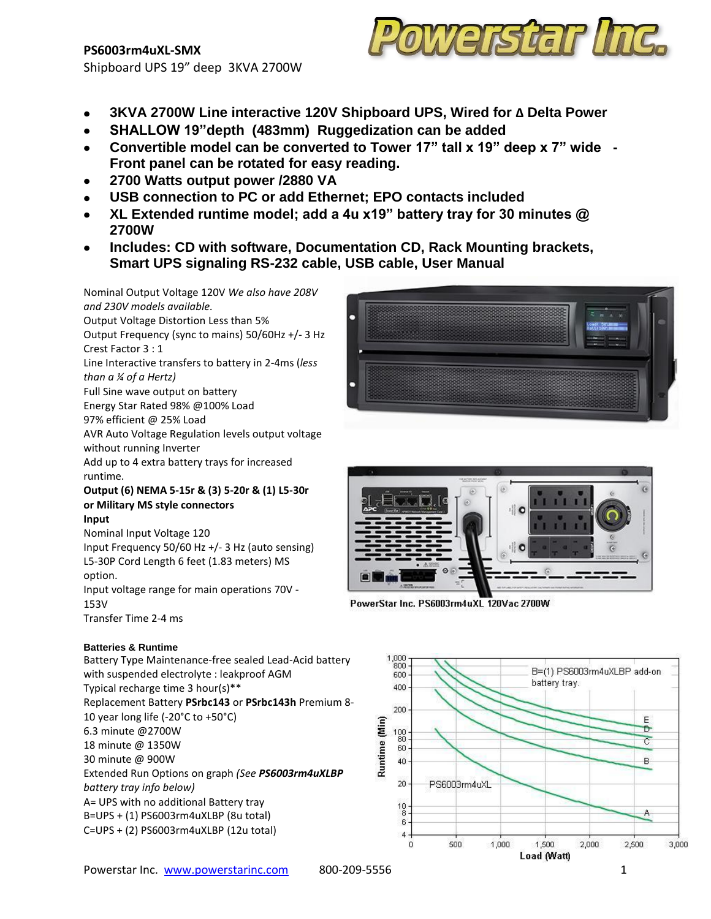# **PS6003rm4uXL-SMX** Shipboard UPS 19" deep 3KVA 2700W



- **3KVA 2700W Line interactive 120V Shipboard UPS, Wired for ∆ Delta Power**
- **SHALLOW 19"depth (483mm) Ruggedization can be added**  $\bullet$
- **Convertible model can be converted to Tower 17" tall x 19" deep x 7" wide - Front panel can be rotated for easy reading.**
- **2700 Watts output power /2880 VA**
- **USB connection to PC or add Ethernet; EPO contacts included**
- **XL Extended runtime model; add a 4u x19" battery tray for 30 minutes @ 2700W**
- **Includes: CD with software, Documentation CD, Rack Mounting brackets, Smart UPS signaling RS-232 cable, USB cable, User Manual**



PowerStar Inc. PS6003rm4uXL 120Vac 2700W



Crest Factor 3 : 1 Line Interactive transfers to battery in 2-4ms (*less than a ¼ of a Hertz)* Full Sine wave output on battery Energy Star Rated 98% @100% Load 97% efficient @ 25% Load AVR Auto Voltage Regulation levels output voltage without running Inverter Add up to 4 extra battery trays for increased runtime.

Nominal Output Voltage 120V *We also have 208V* 

Output Frequency (sync to mains) 50/60Hz +/- 3 Hz

Output Voltage Distortion Less than 5%

*and 230V models available.*

**Output (6) NEMA 5-15r & (3) 5-20r & (1) L5-30r or Military MS style connectors**

#### **Input**

Nominal Input Voltage 120 Input Frequency 50/60 Hz +/- 3 Hz (auto sensing) L5-30P Cord Length 6 feet (1.83 meters) MS option. Input voltage range for main operations 70V -

153V Transfer Time 2-4 ms

### **Batteries & Runtime**

Battery Type Maintenance-free sealed Lead-Acid battery with suspended electrolyte : leakproof AGM Typical recharge time 3 hour(s)\*\* Replacement Battery **PSrbc143** or **PSrbc143h** Premium 8- 10 year long life (-20°C to +50°C) 6.3 minute @2700W 18 minute @ 1350W 30 minute @ 900W Extended Run Options on graph *(See PS6003rm4uXLBP battery tray info below)* A= UPS with no additional Battery tray B=UPS + (1) PS6003rm4uXLBP (8u total) C=UPS + (2) PS6003rm4uXLBP (12u total)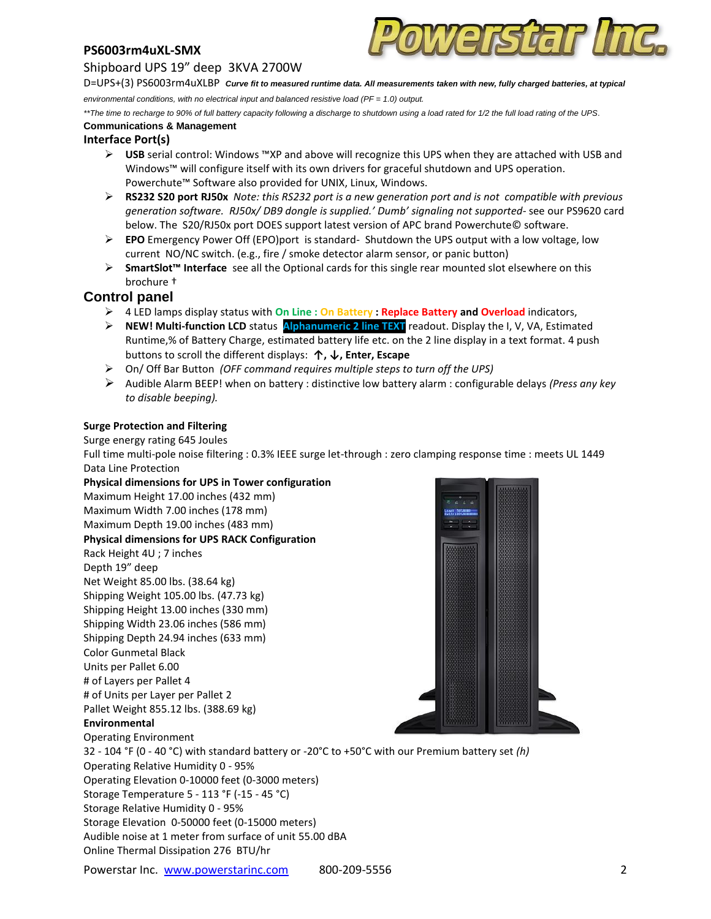# **PS6003rm4uXL-SMX**

### Shipboard UPS 19" deep 3KVA 2700W



D=UPS+(3) PS6003rm4uXLBP *Curve fit to measured runtime data. All measurements taken with new, fully charged batteries, at typical environmental conditions, with no electrical input and balanced resistive load (PF = 1.0) output.*

*\*\*The time to recharge to 90% of full battery capacity following a discharge to shutdown using a load rated for 1/2 the full load rating of the UPS*.

# **Communications & Management**

# **Interface Port(s)**

- **USB** serial control: Windows ™XP and above will recognize this UPS when they are attached with USB and Windows™ will configure itself with its own drivers for graceful shutdown and UPS operation. Powerchute™ Software also provided for UNIX, Linux, Windows.
- **RS232 S20 port RJ50x** *Note: this RS232 port is a new generation port and is not compatible with previous generation software. RJ50x/ DB9 dongle is supplied.' Dumb' signaling not supported-* see our PS9620 card below. The S20/RJ50x port DOES support latest version of APC brand Powerchute© software.
- **EPO** Emergency Power Off (EPO)port is standard- Shutdown the UPS output with a low voltage, low current NO/NC switch. (e.g., fire / smoke detector alarm sensor, or panic button)
- **SmartSlot™ Interface** see all the Optional cards for this single rear mounted slot elsewhere on this brochure †

# **Control panel**

- 4 LED lamps display status with **On Line : On Battery : Replace Battery and Overload** indicators,
- **NEW! Multi-function LCD** status **Alphanumeric 2 line TEXT** readout. Display the I, V, VA, Estimated Runtime,% of Battery Charge, estimated battery life etc. on the 2 line display in a text format. 4 push buttons to scroll the different displays: **↑, ↓, Enter, Escape**
- On/ Off Bar Button *(OFF command requires multiple steps to turn off the UPS)*
- Audible Alarm BEEP! when on battery : distinctive low battery alarm : configurable delays *(Press any key to disable beeping).*

#### **Surge Protection and Filtering**

Surge energy rating 645 Joules

Full time multi-pole noise filtering : 0.3% IEEE surge let-through : zero clamping response time : meets UL 1449 Data Line Protection

**Physical dimensions for UPS in Tower configuration**  Maximum Height 17.00 inches (432 mm) Maximum Width 7.00 inches (178 mm) Maximum Depth 19.00 inches (483 mm) **Physical dimensions for UPS RACK Configuration** Rack Height 4U ; 7 inches Depth 19" deep Net Weight 85.00 lbs. (38.64 kg) Shipping Weight 105.00 lbs. (47.73 kg) Shipping Height 13.00 inches (330 mm) Shipping Width 23.06 inches (586 mm) Shipping Depth 24.94 inches (633 mm) Color Gunmetal Black Units per Pallet 6.00 # of Layers per Pallet 4 # of Units per Layer per Pallet 2 Pallet Weight 855.12 lbs. (388.69 kg) **Environmental** Operating Environment 32 - 104 °F (0 - 40 °C) with standard battery or -20°C to +50°C with our Premium battery set *(h)* Operating Relative Humidity 0 - 95% Operating Elevation 0-10000 feet (0-3000 meters) Storage Temperature 5 - 113 °F (-15 - 45 °C) Storage Relative Humidity 0 - 95% Storage Elevation 0-50000 feet (0-15000 meters) Audible noise at 1 meter from surface of unit 55.00 dBA Online Thermal Dissipation 276 BTU/hr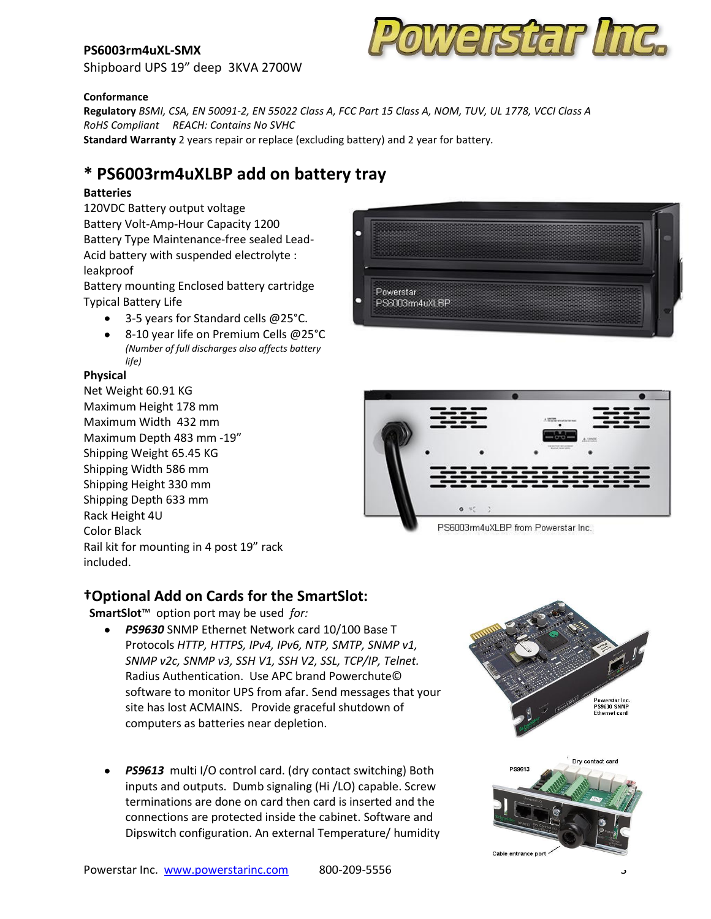# **PS6003rm4uXL-SMX**



Shipboard UPS 19" deep 3KVA 2700W

#### **Conformance**

**Regulatory** *BSMI, CSA, EN 50091-2, EN 55022 Class A, FCC Part 15 Class A, NOM, TUV, UL 1778, VCCI Class A RoHS Compliant REACH: Contains No SVHC* **Standard Warranty** 2 years repair or replace (excluding battery) and 2 year for battery*.*

# **\* PS6003rm4uXLBP add on battery tray**

### **Batteries**

120VDC Battery output voltage Battery Volt-Amp-Hour Capacity 1200 Battery Type Maintenance-free sealed Lead-Acid battery with suspended electrolyte : leakproof

Battery mounting Enclosed battery cartridge Typical Battery Life

- 3-5 years for Standard cells @25°C.
- 8-10 year life on Premium Cells @25°C *(Number of full discharges also affects battery life)*

#### **Physical**

Net Weight 60.91 KG Maximum Height 178 mm Maximum Width 432 mm Maximum Depth 483 mm -19" Shipping Weight 65.45 KG Shipping Width 586 mm Shipping Height 330 mm Shipping Depth 633 mm Rack Height 4U Color Black Rail kit for mounting in 4 post 19" rack included.





PS6003rm4uXLBP from Powerstar Inc.

# **†Optional Add on Cards for the SmartSlot:**

**SmartSlot**™ option port may be used *for:*

- *PS9630* SNMP Ethernet Network card 10/100 Base T Protocols *HTTP, HTTPS, IPv4, IPv6, NTP, SMTP, SNMP v1, SNMP v2c, SNMP v3, SSH V1, SSH V2, SSL, TCP/IP, Telnet.*  Radius Authentication. Use APC brand Powerchute© software to monitor UPS from afar. Send messages that your site has lost ACMAINS. Provide graceful shutdown of computers as batteries near depletion.
- *PS9613* multi I/O control card. (dry contact switching) Both inputs and outputs. Dumb signaling (Hi /LO) capable. Screw terminations are done on card then card is inserted and the connections are protected inside the cabinet. Software and Dipswitch configuration. An external Temperature/ humidity